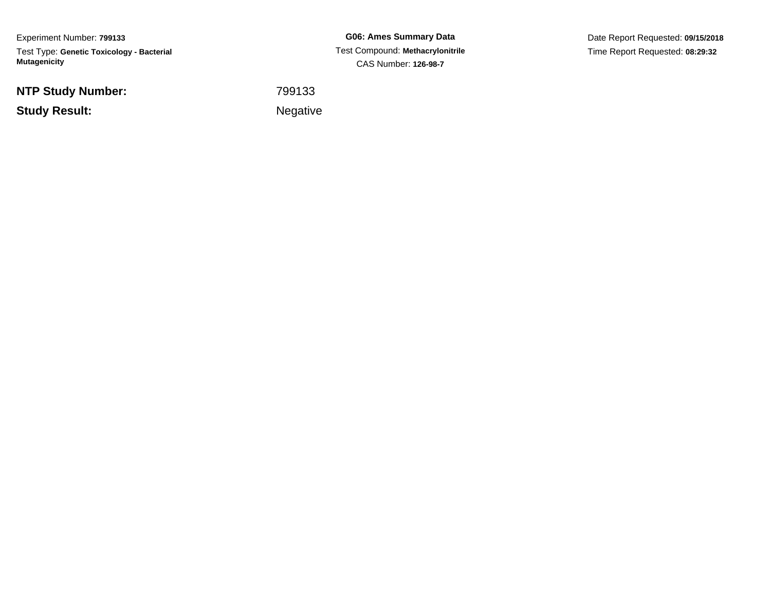Experiment Number: **799133**Test Type: **Genetic Toxicology - Bacterial Mutagenicity**

**NTP Study Number:**

**Study Result:**

**G06: Ames Summary Data** Test Compound: **Methacrylonitrile**CAS Number: **126-98-7**

Date Report Requested: **09/15/2018**Time Report Requested: **08:29:32**

<sup>799133</sup>

Negative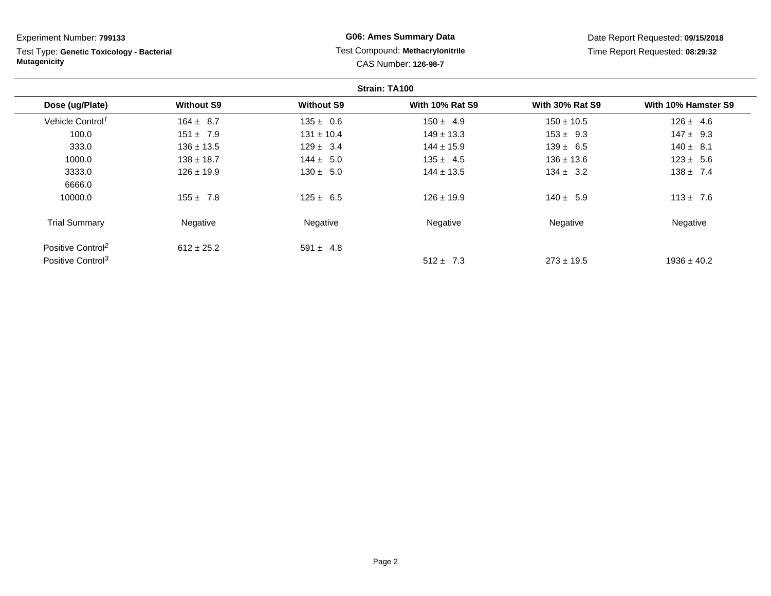Test Type: **Genetic Toxicology - Bacterial Mutagenicity**

## **G06: Ames Summary Data** Test Compound: **Methacrylonitrile**CAS Number: **126-98-7**

| Strain: TA100                 |                   |                   |                        |                        |                     |
|-------------------------------|-------------------|-------------------|------------------------|------------------------|---------------------|
| Dose (ug/Plate)               | <b>Without S9</b> | <b>Without S9</b> | <b>With 10% Rat S9</b> | <b>With 30% Rat S9</b> | With 10% Hamster S9 |
| Vehicle Control <sup>1</sup>  | $164 \pm 8.7$     | $135 \pm 0.6$     | $150 \pm 4.9$          | $150 \pm 10.5$         | $126 \pm 4.6$       |
| 100.0                         | $151 \pm 7.9$     | $131 \pm 10.4$    | $149 \pm 13.3$         | $153 \pm 9.3$          | $147 \pm 9.3$       |
| 333.0                         | $136 \pm 13.5$    | $129 \pm 3.4$     | $144 \pm 15.9$         | $139 \pm 6.5$          | $140 \pm 8.1$       |
| 1000.0                        | $138 \pm 18.7$    | $144 \pm 5.0$     | $135 \pm 4.5$          | $136 \pm 13.6$         | $123 \pm 5.6$       |
| 3333.0                        | $126 \pm 19.9$    | $130 \pm 5.0$     | $144 \pm 13.5$         | $134 \pm 3.2$          | $138 \pm 7.4$       |
| 6666.0                        |                   |                   |                        |                        |                     |
| 10000.0                       | $155 \pm 7.8$     | $125 \pm 6.5$     | $126 \pm 19.9$         | $140 \pm 5.9$          | $113 \pm 7.6$       |
| <b>Trial Summary</b>          | Negative          | Negative          | Negative               | Negative               | Negative            |
| Positive Control <sup>2</sup> | $612 \pm 25.2$    | $591 \pm 4.8$     |                        |                        |                     |
| Positive Control <sup>3</sup> |                   |                   | $512 \pm 7.3$          | $273 \pm 19.5$         | $1936 \pm 40.2$     |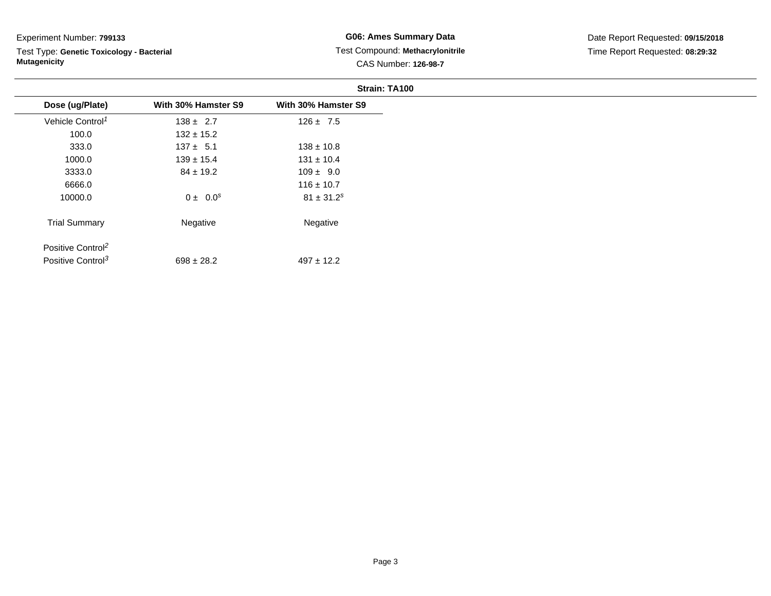Test Type: **Genetic Toxicology - Bacterial Mutagenicity**

|                               |                     | Strain: TA100              |
|-------------------------------|---------------------|----------------------------|
| Dose (ug/Plate)               | With 30% Hamster S9 | With 30% Hamster S9        |
| Vehicle Control <sup>1</sup>  | $138 \pm 2.7$       | $126 \pm 7.5$              |
| 100.0                         | $132 \pm 15.2$      |                            |
| 333.0                         | $137 \pm 5.1$       | $138 \pm 10.8$             |
| 1000.0                        | $139 \pm 15.4$      | $131 \pm 10.4$             |
| 3333.0                        | $84 \pm 19.2$       | $109 \pm 9.0$              |
| 6666.0                        |                     | $116 \pm 10.7$             |
| 10000.0                       | $0 \pm 0.0^s$       | $81 \pm 31.2$ <sup>s</sup> |
| <b>Trial Summary</b>          | Negative            | Negative                   |
| Positive Control <sup>2</sup> |                     |                            |
| Positive Control <sup>3</sup> | $698 \pm 28.2$      | $497 \pm 12.2$             |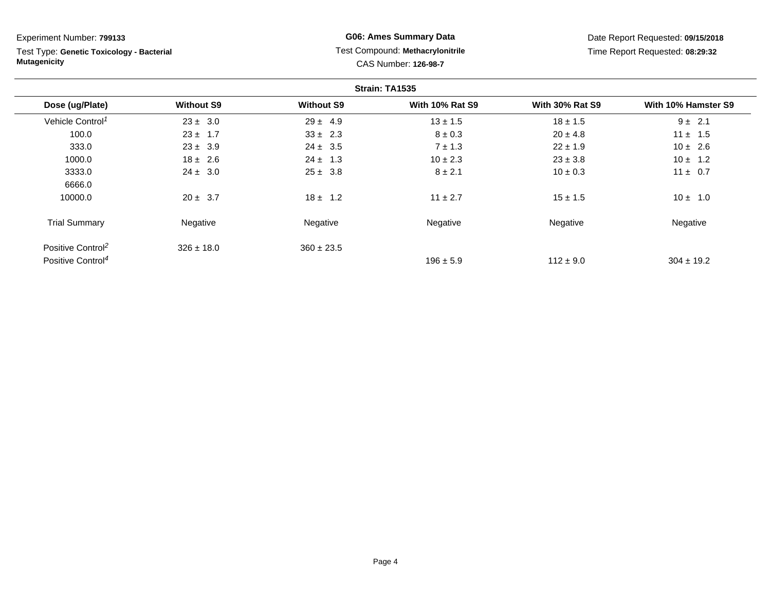Test Type: **Genetic Toxicology - Bacterial Mutagenicity**

## **G06: Ames Summary Data** Test Compound: **Methacrylonitrile**CAS Number: **126-98-7**

| Strain: TA1535                |                   |                   |                        |                        |                     |  |
|-------------------------------|-------------------|-------------------|------------------------|------------------------|---------------------|--|
| Dose (ug/Plate)               | <b>Without S9</b> | <b>Without S9</b> | <b>With 10% Rat S9</b> | <b>With 30% Rat S9</b> | With 10% Hamster S9 |  |
| Vehicle Control <sup>1</sup>  | $23 \pm 3.0$      | $29 \pm 4.9$      | $13 \pm 1.5$           | $18 \pm 1.5$           | $9 \pm 2.1$         |  |
| 100.0                         | $23 \pm 1.7$      | $33 \pm 2.3$      | $8 \pm 0.3$            | $20 \pm 4.8$           | $11 \pm 1.5$        |  |
| 333.0                         | $23 \pm 3.9$      | $24 \pm 3.5$      | $7 \pm 1.3$            | $22 \pm 1.9$           | $10 \pm 2.6$        |  |
| 1000.0                        | $18 \pm 2.6$      | $24 \pm 1.3$      | $10 \pm 2.3$           | $23 \pm 3.8$           | $10 \pm 1.2$        |  |
| 3333.0                        | $24 \pm 3.0$      | $25 \pm 3.8$      | $8 \pm 2.1$            | $10 \pm 0.3$           | $11 \pm 0.7$        |  |
| 6666.0                        |                   |                   |                        |                        |                     |  |
| 10000.0                       | $20 \pm 3.7$      | $18 \pm 1.2$      | $11 \pm 2.7$           | $15 \pm 1.5$           | $10 \pm 1.0$        |  |
| <b>Trial Summary</b>          | Negative          | Negative          | Negative               | Negative               | Negative            |  |
| Positive Control <sup>2</sup> | $326 \pm 18.0$    | $360 \pm 23.5$    |                        |                        |                     |  |
| Positive Control <sup>4</sup> |                   |                   | $196 \pm 5.9$          | $112 \pm 9.0$          | $304 \pm 19.2$      |  |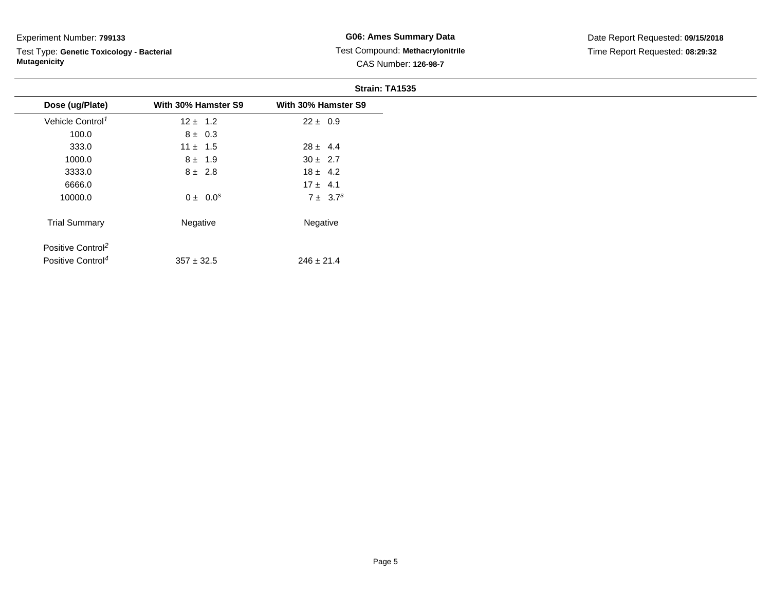Test Type: **Genetic Toxicology - Bacterial Mutagenicity**

|                               |                     | Strain: TA1535      |
|-------------------------------|---------------------|---------------------|
| Dose (ug/Plate)               | With 30% Hamster S9 | With 30% Hamster S9 |
| Vehicle Control <sup>1</sup>  | $12 \pm 1.2$        | $22 \pm 0.9$        |
| 100.0                         | $8 \pm 0.3$         |                     |
| 333.0                         | $11 \pm 1.5$        | $28 \pm 4.4$        |
| 1000.0                        | $8 \pm 1.9$         | $30 \pm 2.7$        |
| 3333.0                        | $8 \pm 2.8$         | $18 \pm 4.2$        |
| 6666.0                        |                     | $17 \pm 4.1$        |
| 10000.0                       | $0 \pm 0.0^s$       | $7 \pm 3.7^s$       |
| <b>Trial Summary</b>          | Negative            | Negative            |
| Positive Control <sup>2</sup> |                     |                     |
| Positive Control <sup>4</sup> | $357 \pm 32.5$      | $246 \pm 21.4$      |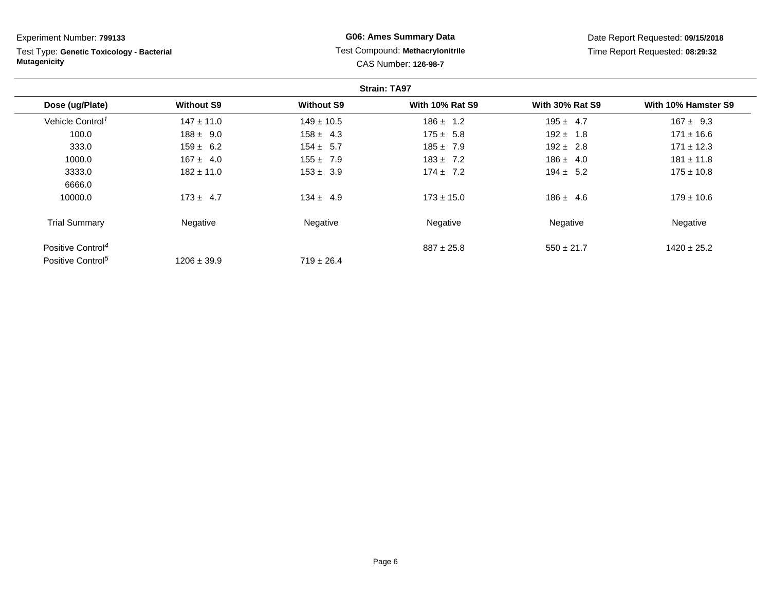Test Type: **Genetic Toxicology - Bacterial Mutagenicity**

## **G06: Ames Summary Data** Test Compound: **Methacrylonitrile**CAS Number: **126-98-7**

| <b>Strain: TA97</b>           |                   |                   |                        |                        |                     |
|-------------------------------|-------------------|-------------------|------------------------|------------------------|---------------------|
| Dose (ug/Plate)               | <b>Without S9</b> | <b>Without S9</b> | <b>With 10% Rat S9</b> | <b>With 30% Rat S9</b> | With 10% Hamster S9 |
| Vehicle Control <sup>1</sup>  | $147 \pm 11.0$    | $149 \pm 10.5$    | $186 \pm 1.2$          | $195 \pm 4.7$          | $167 \pm 9.3$       |
| 100.0                         | $188 \pm 9.0$     | $158 \pm 4.3$     | $175 \pm 5.8$          | $192 \pm 1.8$          | $171 \pm 16.6$      |
| 333.0                         | $159 \pm 6.2$     | $154 \pm 5.7$     | $185 \pm 7.9$          | $192 \pm 2.8$          | $171 \pm 12.3$      |
| 1000.0                        | $167 \pm 4.0$     | $155 \pm 7.9$     | $183 \pm 7.2$          | $186 \pm 4.0$          | $181 \pm 11.8$      |
| 3333.0                        | $182 \pm 11.0$    | $153 \pm 3.9$     | $174 \pm 7.2$          | $194 \pm 5.2$          | $175 \pm 10.8$      |
| 6666.0                        |                   |                   |                        |                        |                     |
| 10000.0                       | $173 \pm 4.7$     | $134 \pm 4.9$     | $173 \pm 15.0$         | $186 \pm 4.6$          | $179 \pm 10.6$      |
| <b>Trial Summary</b>          | Negative          | Negative          | Negative               | Negative               | Negative            |
| Positive Control <sup>4</sup> |                   |                   | $887 \pm 25.8$         | $550 \pm 21.7$         | $1420 \pm 25.2$     |
| Positive Control <sup>5</sup> | $1206 \pm 39.9$   | $719 \pm 26.4$    |                        |                        |                     |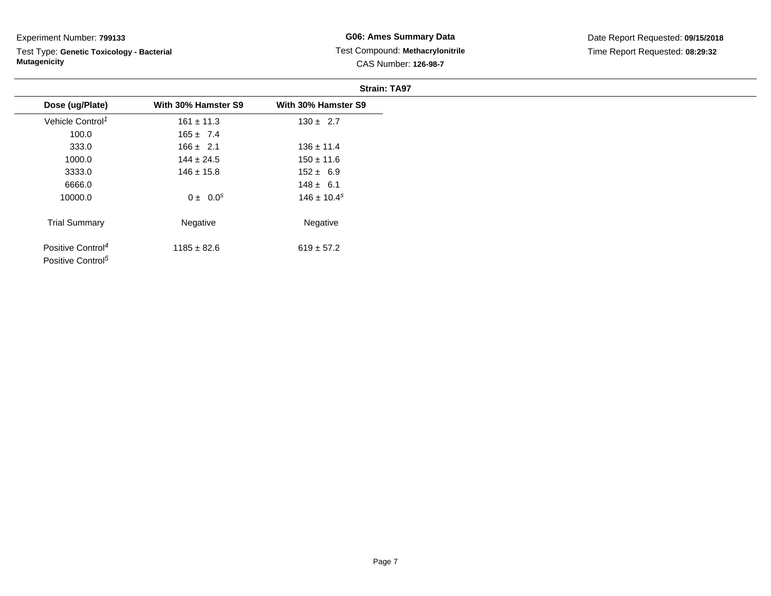Test Type: **Genetic Toxicology - Bacterial Mutagenicity**

|                               |                     | <b>Strain: TA97</b> |
|-------------------------------|---------------------|---------------------|
| Dose (ug/Plate)               | With 30% Hamster S9 | With 30% Hamster S9 |
| Vehicle Control <sup>1</sup>  | $161 \pm 11.3$      | $130 \pm 2.7$       |
| 100.0                         | $165 \pm 7.4$       |                     |
| 333.0                         | $166 \pm 2.1$       | $136 \pm 11.4$      |
| 1000.0                        | $144 \pm 24.5$      | $150 \pm 11.6$      |
| 3333.0                        | $146 \pm 15.8$      | $152 \pm 6.9$       |
| 6666.0                        |                     | $148 \pm 6.1$       |
| 10000.0                       | $0 \pm 0.0^s$       | $146 \pm 10.4^s$    |
| <b>Trial Summary</b>          | Negative            | Negative            |
| Positive Control <sup>4</sup> | $1185 \pm 82.6$     | $619 \pm 57.2$      |
| Positive Control <sup>5</sup> |                     |                     |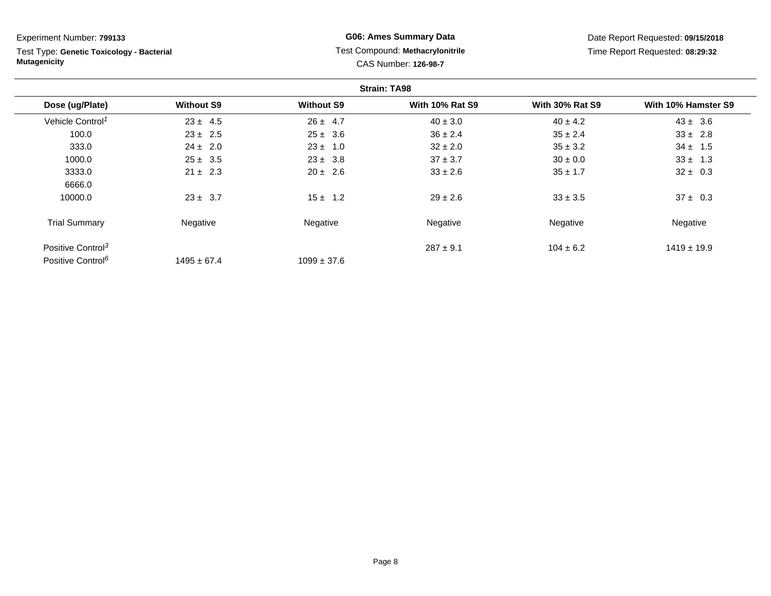Test Type: **Genetic Toxicology - Bacterial Mutagenicity**

## **G06: Ames Summary Data** Test Compound: **Methacrylonitrile**CAS Number: **126-98-7**

|                               |                   |                   | <b>Strain: TA98</b>    |                        |                     |
|-------------------------------|-------------------|-------------------|------------------------|------------------------|---------------------|
| Dose (ug/Plate)               | <b>Without S9</b> | <b>Without S9</b> | <b>With 10% Rat S9</b> | <b>With 30% Rat S9</b> | With 10% Hamster S9 |
| Vehicle Control <sup>1</sup>  | $23 \pm 4.5$      | $26 \pm 4.7$      | $40 \pm 3.0$           | $40 \pm 4.2$           | $43 \pm 3.6$        |
| 100.0                         | $23 \pm 2.5$      | $25 \pm 3.6$      | $36 \pm 2.4$           | $35 \pm 2.4$           | $33 \pm 2.8$        |
| 333.0                         | $24 \pm 2.0$      | $23 \pm 1.0$      | $32 \pm 2.0$           | $35 \pm 3.2$           | $34 \pm 1.5$        |
| 1000.0                        | $25 \pm 3.5$      | $23 \pm 3.8$      | $37 \pm 3.7$           | $30 \pm 0.0$           | $33 \pm 1.3$        |
| 3333.0                        | $21 \pm 2.3$      | $20 \pm 2.6$      | $33 \pm 2.6$           | $35 \pm 1.7$           | $32 \pm 0.3$        |
| 6666.0                        |                   |                   |                        |                        |                     |
| 10000.0                       | $23 \pm 3.7$      | $15 \pm 1.2$      | $29 \pm 2.6$           | $33 \pm 3.5$           | $37 \pm 0.3$        |
| <b>Trial Summary</b>          | Negative          | Negative          | Negative               | Negative               | Negative            |
| Positive Control <sup>3</sup> |                   |                   | $287 \pm 9.1$          | $104 \pm 6.2$          | $1419 \pm 19.9$     |
| Positive Control <sup>6</sup> | $1495 \pm 67.4$   | $1099 \pm 37.6$   |                        |                        |                     |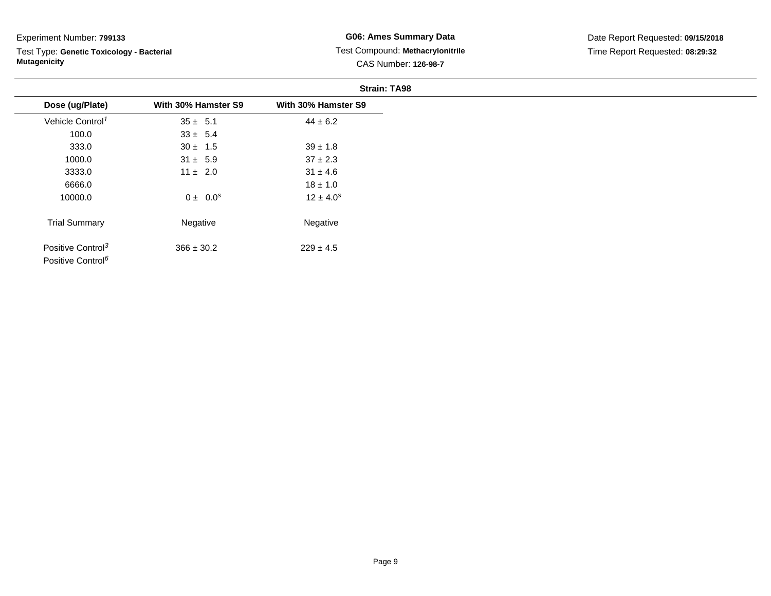Test Type: **Genetic Toxicology - Bacterial Mutagenicity**

|                               |                     | <b>Strain: TA98</b> |
|-------------------------------|---------------------|---------------------|
| Dose (ug/Plate)               | With 30% Hamster S9 | With 30% Hamster S9 |
| Vehicle Control <sup>1</sup>  | $35 \pm 5.1$        | $44 \pm 6.2$        |
| 100.0                         | $33 \pm 5.4$        |                     |
| 333.0                         | $30 \pm 1.5$        | $39 \pm 1.8$        |
| 1000.0                        | $31 \pm 5.9$        | $37 \pm 2.3$        |
| 3333.0                        | $11 \pm 2.0$        | $31 \pm 4.6$        |
| 6666.0                        |                     | $18 \pm 1.0$        |
| 10000.0                       | $0 \pm 0.0^s$       | $12 \pm 4.0^s$      |
| <b>Trial Summary</b>          | Negative            | Negative            |
| Positive Control <sup>3</sup> | $366 \pm 30.2$      | $229 \pm 4.5$       |
| Positive Control <sup>6</sup> |                     |                     |